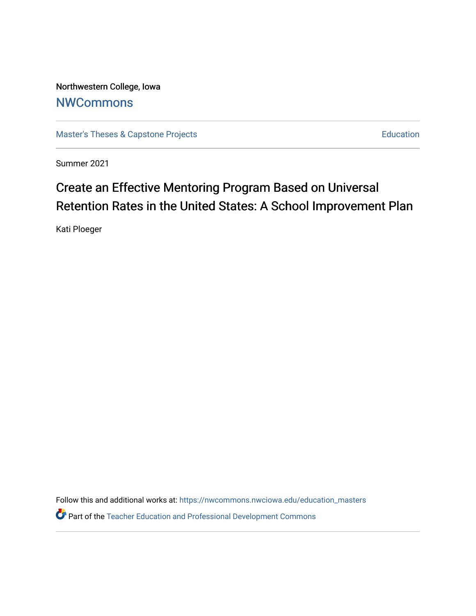Northwestern College, Iowa **[NWCommons](https://nwcommons.nwciowa.edu/)** 

[Master's Theses & Capstone Projects](https://nwcommons.nwciowa.edu/education_masters) **Education** Education

Summer 2021

# Create an Effective Mentoring Program Based on Universal Retention Rates in the United States: A School Improvement Plan

Kati Ploeger

Follow this and additional works at: [https://nwcommons.nwciowa.edu/education\\_masters](https://nwcommons.nwciowa.edu/education_masters?utm_source=nwcommons.nwciowa.edu%2Feducation_masters%2F320&utm_medium=PDF&utm_campaign=PDFCoverPages)

Part of the [Teacher Education and Professional Development Commons](http://network.bepress.com/hgg/discipline/803?utm_source=nwcommons.nwciowa.edu%2Feducation_masters%2F320&utm_medium=PDF&utm_campaign=PDFCoverPages)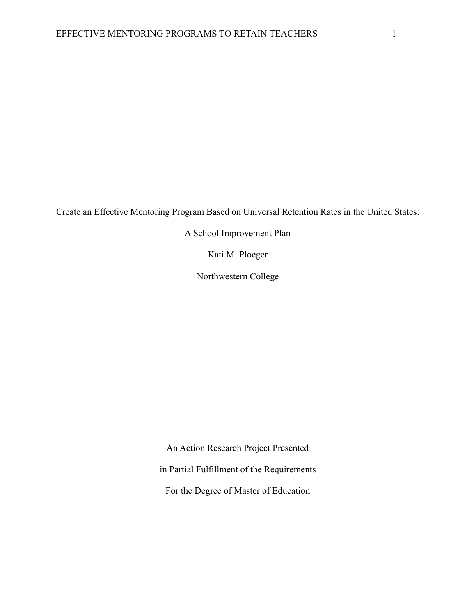Create an Effective Mentoring Program Based on Universal Retention Rates in the United States:

A School Improvement Plan

Kati M. Ploeger

Northwestern College

An Action Research Project Presented in Partial Fulfillment of the Requirements For the Degree of Master of Education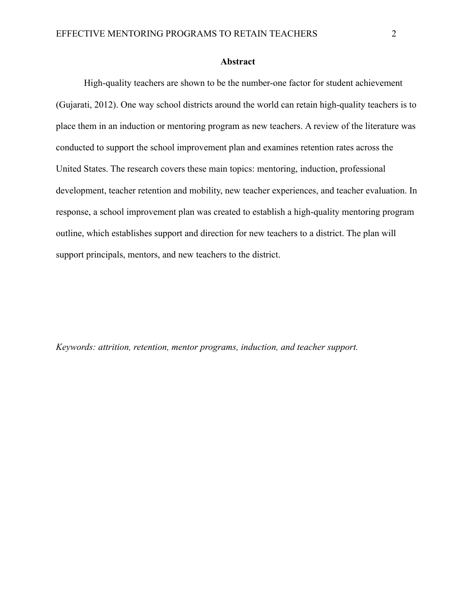#### **Abstract**

High-quality teachers are shown to be the number-one factor for student achievement (Gujarati, 2012). One way school districts around the world can retain high-quality teachers is to place them in an induction or mentoring program as new teachers. A review of the literature was conducted to support the school improvement plan and examines retention rates across the United States. The research covers these main topics: mentoring, induction, professional development, teacher retention and mobility, new teacher experiences, and teacher evaluation. In response, a school improvement plan was created to establish a high-quality mentoring program outline, which establishes support and direction for new teachers to a district. The plan will support principals, mentors, and new teachers to the district.

*Keywords: attrition, retention, mentor programs, induction, and teacher support.*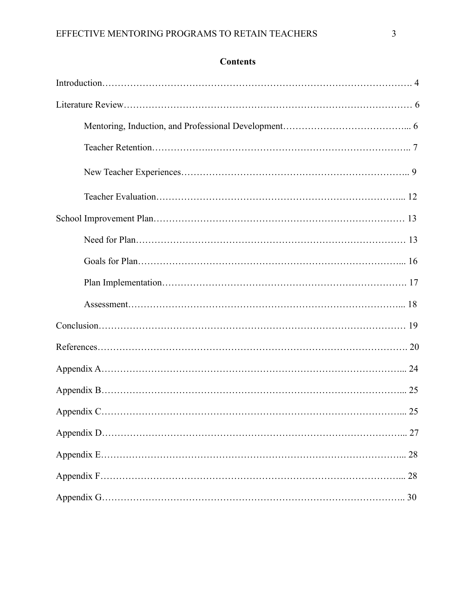### **Contents**

| 25 |
|----|
| 27 |
|    |
|    |
| 30 |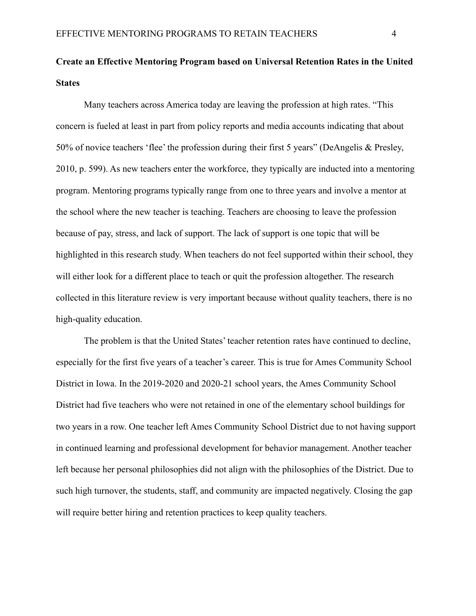## **Create an Effective Mentoring Program based on Universal Retention Rates in the United States**

Many teachers across America today are leaving the profession at high rates. "This concern is fueled at least in part from policy reports and media accounts indicating that about 50% of novice teachers 'flee' the profession during their first 5 years" (DeAngelis & Presley, 2010, p. 599). As new teachers enter the workforce, they typically are inducted into a mentoring program. Mentoring programs typically range from one to three years and involve a mentor at the school where the new teacher is teaching. Teachers are choosing to leave the profession because of pay, stress, and lack of support. The lack of support is one topic that will be highlighted in this research study. When teachers do not feel supported within their school, they will either look for a different place to teach or quit the profession altogether. The research collected in this literature review is very important because without quality teachers, there is no high-quality education.

The problem is that the United States' teacher retention rates have continued to decline, especially for the first five years of a teacher's career. This is true for Ames Community School District in Iowa. In the 2019-2020 and 2020-21 school years, the Ames Community School District had five teachers who were not retained in one of the elementary school buildings for two years in a row. One teacher left Ames Community School District due to not having support in continued learning and professional development for behavior management. Another teacher left because her personal philosophies did not align with the philosophies of the District. Due to such high turnover, the students, staff, and community are impacted negatively. Closing the gap will require better hiring and retention practices to keep quality teachers.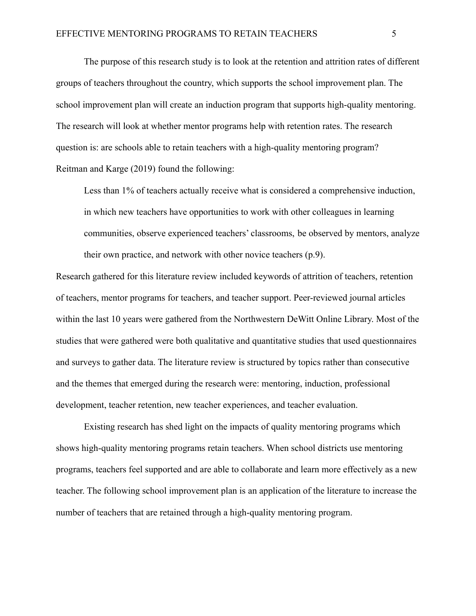The purpose of this research study is to look at the retention and attrition rates of different groups of teachers throughout the country, which supports the school improvement plan. The school improvement plan will create an induction program that supports high-quality mentoring. The research will look at whether mentor programs help with retention rates. The research question is: are schools able to retain teachers with a high-quality mentoring program? Reitman and Karge (2019) found the following:

Less than 1% of teachers actually receive what is considered a comprehensive induction, in which new teachers have opportunities to work with other colleagues in learning communities, observe experienced teachers' classrooms, be observed by mentors, analyze their own practice, and network with other novice teachers (p.9).

Research gathered for this literature review included keywords of attrition of teachers, retention of teachers, mentor programs for teachers, and teacher support. Peer-reviewed journal articles within the last 10 years were gathered from the Northwestern DeWitt Online Library. Most of the studies that were gathered were both qualitative and quantitative studies that used questionnaires and surveys to gather data. The literature review is structured by topics rather than consecutive and the themes that emerged during the research were: mentoring, induction, professional development, teacher retention, new teacher experiences, and teacher evaluation.

Existing research has shed light on the impacts of quality mentoring programs which shows high-quality mentoring programs retain teachers. When school districts use mentoring programs, teachers feel supported and are able to collaborate and learn more effectively as a new teacher. The following school improvement plan is an application of the literature to increase the number of teachers that are retained through a high-quality mentoring program.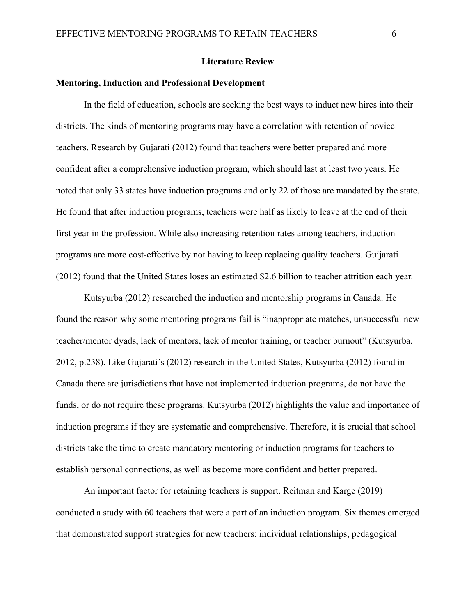#### **Literature Review**

#### **Mentoring, Induction and Professional Development**

In the field of education, schools are seeking the best ways to induct new hires into their districts. The kinds of mentoring programs may have a correlation with retention of novice teachers. Research by Gujarati (2012) found that teachers were better prepared and more confident after a comprehensive induction program, which should last at least two years. He noted that only 33 states have induction programs and only 22 of those are mandated by the state. He found that after induction programs, teachers were half as likely to leave at the end of their first year in the profession. While also increasing retention rates among teachers, induction programs are more cost-effective by not having to keep replacing quality teachers. Guijarati (2012) found that the United States loses an estimated \$2.6 billion to teacher attrition each year.

Kutsyurba (2012) researched the induction and mentorship programs in Canada. He found the reason why some mentoring programs fail is "inappropriate matches, unsuccessful new teacher/mentor dyads, lack of mentors, lack of mentor training, or teacher burnout" (Kutsyurba, 2012, p.238). Like Gujarati's (2012) research in the United States, Kutsyurba (2012) found in Canada there are jurisdictions that have not implemented induction programs, do not have the funds, or do not require these programs. Kutsyurba (2012) highlights the value and importance of induction programs if they are systematic and comprehensive. Therefore, it is crucial that school districts take the time to create mandatory mentoring or induction programs for teachers to establish personal connections, as well as become more confident and better prepared.

An important factor for retaining teachers is support. Reitman and Karge (2019) conducted a study with 60 teachers that were a part of an induction program. Six themes emerged that demonstrated support strategies for new teachers: individual relationships, pedagogical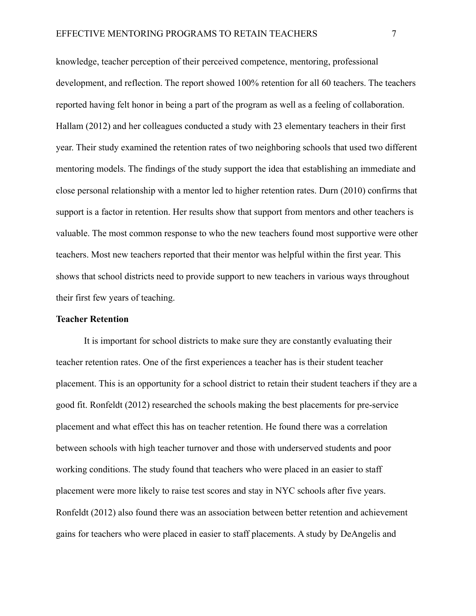knowledge, teacher perception of their perceived competence, mentoring, professional development, and reflection. The report showed 100% retention for all 60 teachers. The teachers reported having felt honor in being a part of the program as well as a feeling of collaboration. Hallam (2012) and her colleagues conducted a study with 23 elementary teachers in their first year. Their study examined the retention rates of two neighboring schools that used two different mentoring models. The findings of the study support the idea that establishing an immediate and close personal relationship with a mentor led to higher retention rates. Durn (2010) confirms that support is a factor in retention. Her results show that support from mentors and other teachers is valuable. The most common response to who the new teachers found most supportive were other teachers. Most new teachers reported that their mentor was helpful within the first year. This shows that school districts need to provide support to new teachers in various ways throughout their first few years of teaching.

#### **Teacher Retention**

It is important for school districts to make sure they are constantly evaluating their teacher retention rates. One of the first experiences a teacher has is their student teacher placement. This is an opportunity for a school district to retain their student teachers if they are a good fit. Ronfeldt (2012) researched the schools making the best placements for pre-service placement and what effect this has on teacher retention. He found there was a correlation between schools with high teacher turnover and those with underserved students and poor working conditions. The study found that teachers who were placed in an easier to staff placement were more likely to raise test scores and stay in NYC schools after five years. Ronfeldt (2012) also found there was an association between better retention and achievement gains for teachers who were placed in easier to staff placements. A study by DeAngelis and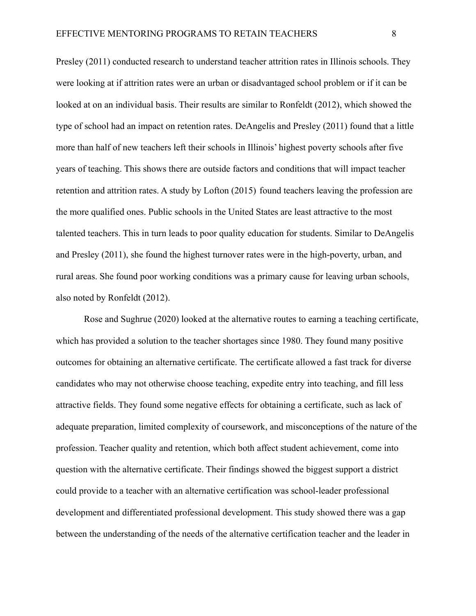Presley (2011) conducted research to understand teacher attrition rates in Illinois schools. They were looking at if attrition rates were an urban or disadvantaged school problem or if it can be looked at on an individual basis. Their results are similar to Ronfeldt (2012), which showed the type of school had an impact on retention rates. DeAngelis and Presley (2011) found that a little more than half of new teachers left their schools in Illinois' highest poverty schools after five years of teaching. This shows there are outside factors and conditions that will impact teacher retention and attrition rates. A study by Lofton (2015) found teachers leaving the profession are the more qualified ones. Public schools in the United States are least attractive to the most talented teachers. This in turn leads to poor quality education for students. Similar to DeAngelis and Presley (2011), she found the highest turnover rates were in the high-poverty, urban, and rural areas. She found poor working conditions was a primary cause for leaving urban schools, also noted by Ronfeldt (2012).

Rose and Sughrue (2020) looked at the alternative routes to earning a teaching certificate, which has provided a solution to the teacher shortages since 1980. They found many positive outcomes for obtaining an alternative certificate. The certificate allowed a fast track for diverse candidates who may not otherwise choose teaching, expedite entry into teaching, and fill less attractive fields. They found some negative effects for obtaining a certificate, such as lack of adequate preparation, limited complexity of coursework, and misconceptions of the nature of the profession. Teacher quality and retention, which both affect student achievement, come into question with the alternative certificate. Their findings showed the biggest support a district could provide to a teacher with an alternative certification was school-leader professional development and differentiated professional development. This study showed there was a gap between the understanding of the needs of the alternative certification teacher and the leader in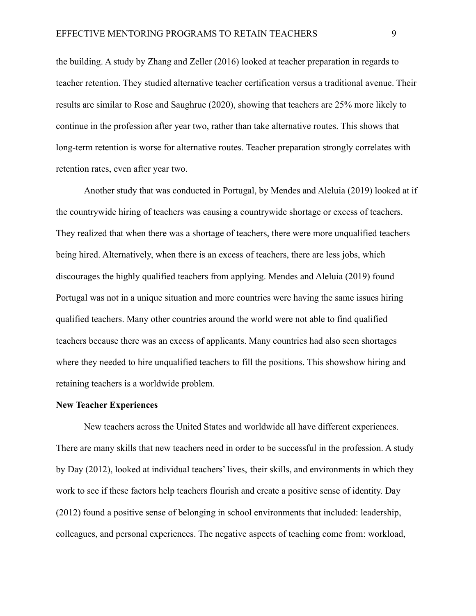the building. A study by Zhang and Zeller (2016) looked at teacher preparation in regards to teacher retention. They studied alternative teacher certification versus a traditional avenue. Their results are similar to Rose and Saughrue (2020), showing that teachers are 25% more likely to continue in the profession after year two, rather than take alternative routes. This shows that long-term retention is worse for alternative routes. Teacher preparation strongly correlates with retention rates, even after year two.

Another study that was conducted in Portugal, by Mendes and Aleluia (2019) looked at if the countrywide hiring of teachers was causing a countrywide shortage or excess of teachers. They realized that when there was a shortage of teachers, there were more unqualified teachers being hired. Alternatively, when there is an excess of teachers, there are less jobs, which discourages the highly qualified teachers from applying. Mendes and Aleluia (2019) found Portugal was not in a unique situation and more countries were having the same issues hiring qualified teachers. Many other countries around the world were not able to find qualified teachers because there was an excess of applicants. Many countries had also seen shortages where they needed to hire unqualified teachers to fill the positions. This showshow hiring and retaining teachers is a worldwide problem.

#### **New Teacher Experiences**

New teachers across the United States and worldwide all have different experiences. There are many skills that new teachers need in order to be successful in the profession. A study by Day (2012), looked at individual teachers' lives, their skills, and environments in which they work to see if these factors help teachers flourish and create a positive sense of identity. Day (2012) found a positive sense of belonging in school environments that included: leadership, colleagues, and personal experiences. The negative aspects of teaching come from: workload,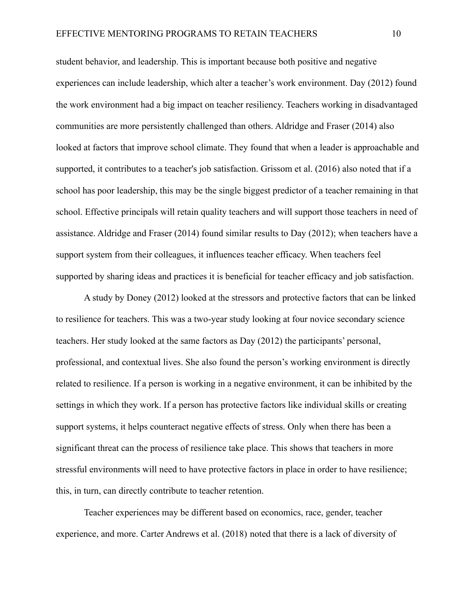student behavior, and leadership. This is important because both positive and negative experiences can include leadership, which alter a teacher's work environment. Day (2012) found the work environment had a big impact on teacher resiliency. Teachers working in disadvantaged communities are more persistently challenged than others. Aldridge and Fraser (2014) also looked at factors that improve school climate. They found that when a leader is approachable and supported, it contributes to a teacher's job satisfaction. Grissom et al. (2016) also noted that if a school has poor leadership, this may be the single biggest predictor of a teacher remaining in that school. Effective principals will retain quality teachers and will support those teachers in need of assistance. Aldridge and Fraser (2014) found similar results to Day (2012); when teachers have a support system from their colleagues, it influences teacher efficacy. When teachers feel supported by sharing ideas and practices it is beneficial for teacher efficacy and job satisfaction.

A study by Doney (2012) looked at the stressors and protective factors that can be linked to resilience for teachers. This was a two-year study looking at four novice secondary science teachers. Her study looked at the same factors as Day (2012) the participants' personal, professional, and contextual lives. She also found the person's working environment is directly related to resilience. If a person is working in a negative environment, it can be inhibited by the settings in which they work. If a person has protective factors like individual skills or creating support systems, it helps counteract negative effects of stress. Only when there has been a significant threat can the process of resilience take place. This shows that teachers in more stressful environments will need to have protective factors in place in order to have resilience; this, in turn, can directly contribute to teacher retention.

Teacher experiences may be different based on economics, race, gender, teacher experience, and more. Carter Andrews et al. (2018) noted that there is a lack of diversity of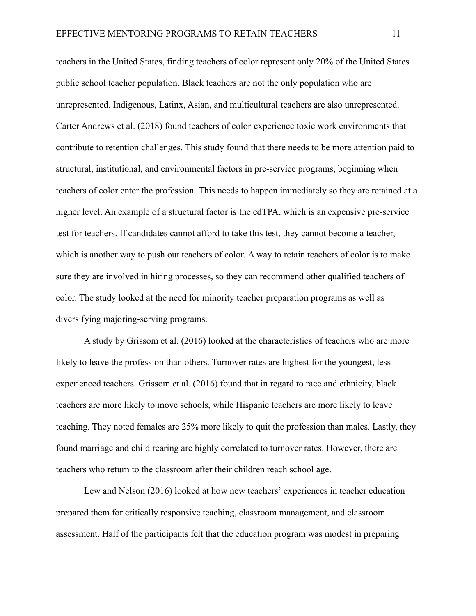teachers in the United States, finding teachers of color represent only 20% of the United States public school teacher population. Black teachers are not the only population who are unrepresented. Indigenous, Latinx, Asian, and multicultural teachers are also unrepresented. Carter Andrews et al. (2018) found teachers of color experience toxic work environments that contribute to retention challenges. This study found that there needs to be more attention paid to structural, institutional, and environmental factors in pre-service programs, beginning when teachers of color enter the profession. This needs to happen immediately so they are retained at a higher level. An example of a structural factor is the edTPA, which is an expensive pre-service test for teachers. If candidates cannot afford to take this test, they cannot become a teacher, which is another way to push out teachers of color. A way to retain teachers of color is to make sure they are involved in hiring processes, so they can recommend other qualified teachers of color. The study looked at the need for minority teacher preparation programs as well as diversifying majoring-serving programs.

A study by Grissom et al. (2016) looked at the characteristics of teachers who are more likely to leave the profession than others. Turnover rates are highest for the youngest, less experienced teachers. Grissom et al. (2016) found that in regard to race and ethnicity, black teachers are more likely to move schools, while Hispanic teachers are more likely to leave teaching. They noted females are 25% more likely to quit the profession than males. Lastly, they found marriage and child rearing are highly correlated to turnover rates. However, there are teachers who return to the classroom after their children reach school age.

Lew and Nelson (2016) looked at how new teachers' experiences in teacher education prepared them for critically responsive teaching, classroom management, and classroom assessment. Half of the participants felt that the education program was modest in preparing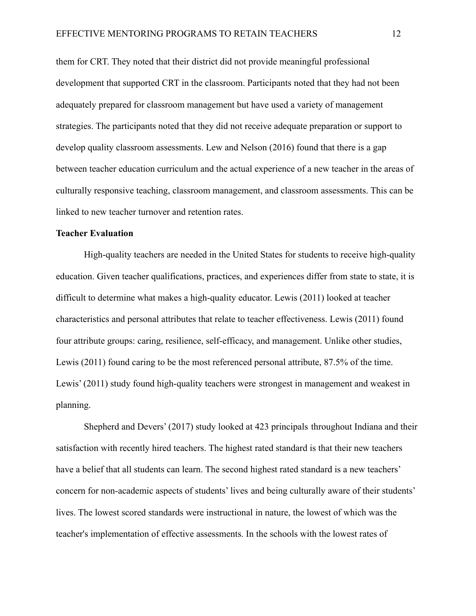them for CRT. They noted that their district did not provide meaningful professional development that supported CRT in the classroom. Participants noted that they had not been adequately prepared for classroom management but have used a variety of management strategies. The participants noted that they did not receive adequate preparation or support to develop quality classroom assessments. Lew and Nelson (2016) found that there is a gap between teacher education curriculum and the actual experience of a new teacher in the areas of culturally responsive teaching, classroom management, and classroom assessments. This can be linked to new teacher turnover and retention rates.

#### **Teacher Evaluation**

High-quality teachers are needed in the United States for students to receive high-quality education. Given teacher qualifications, practices, and experiences differ from state to state, it is difficult to determine what makes a high-quality educator. Lewis (2011) looked at teacher characteristics and personal attributes that relate to teacher effectiveness. Lewis (2011) found four attribute groups: caring, resilience, self-efficacy, and management. Unlike other studies, Lewis (2011) found caring to be the most referenced personal attribute, 87.5% of the time. Lewis' (2011) study found high-quality teachers were strongest in management and weakest in planning.

Shepherd and Devers' (2017) study looked at 423 principals throughout Indiana and their satisfaction with recently hired teachers. The highest rated standard is that their new teachers have a belief that all students can learn. The second highest rated standard is a new teachers' concern for non-academic aspects of students' lives and being culturally aware of their students' lives. The lowest scored standards were instructional in nature, the lowest of which was the teacher's implementation of effective assessments. In the schools with the lowest rates of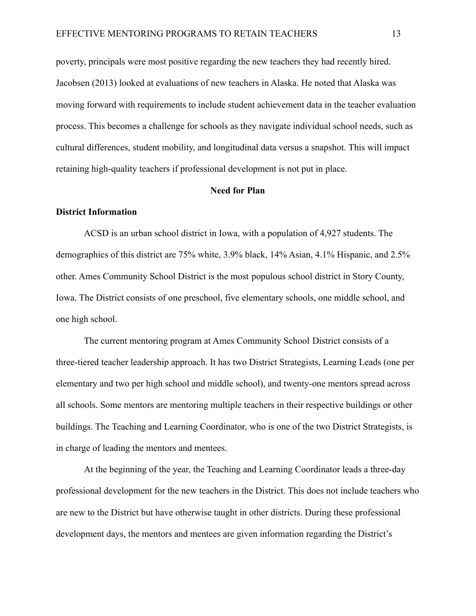poverty, principals were most positive regarding the new teachers they had recently hired. Jacobsen (2013) looked at evaluations of new teachers in Alaska. He noted that Alaska was moving forward with requirements to include student achievement data in the teacher evaluation process. This becomes a challenge for schools as they navigate individual school needs, such as cultural differences, student mobility, and longitudinal data versus a snapshot. This will impact retaining high-quality teachers if professional development is not put in place.

#### **Need for Plan**

#### **District Information**

ACSD is an urban school district in Iowa, with a population of 4,927 students. The demographics of this district are 75% white, 3.9% black, 14% Asian, 4.1% Hispanic, and 2.5% other. Ames Community School District is the most populous school district in Story County, Iowa. The District consists of one preschool, five elementary schools, one middle school, and one high school.

The current mentoring program at Ames Community School District consists of a three-tiered teacher leadership approach. It has two District Strategists, Learning Leads (one per elementary and two per high school and middle school), and twenty-one mentors spread across all schools. Some mentors are mentoring multiple teachers in their respective buildings or other buildings. The Teaching and Learning Coordinator, who is one of the two District Strategists, is in charge of leading the mentors and mentees.

At the beginning of the year, the Teaching and Learning Coordinator leads a three-day professional development for the new teachers in the District. This does not include teachers who are new to the District but have otherwise taught in other districts. During these professional development days, the mentors and mentees are given information regarding the District's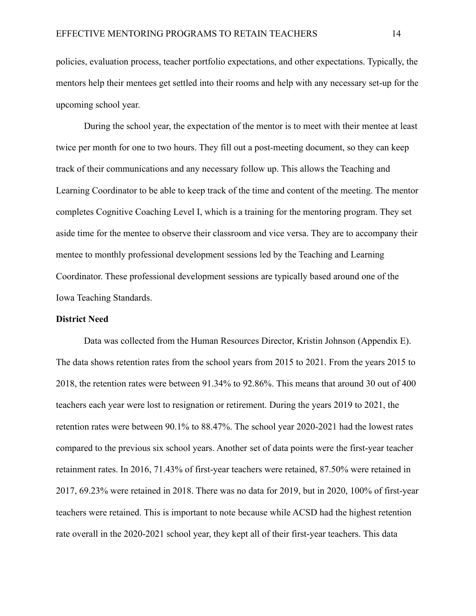policies, evaluation process, teacher portfolio expectations, and other expectations. Typically, the mentors help their mentees get settled into their rooms and help with any necessary set-up for the upcoming school year.

During the school year, the expectation of the mentor is to meet with their mentee at least twice per month for one to two hours. They fill out a post-meeting document, so they can keep track of their communications and any necessary follow up. This allows the Teaching and Learning Coordinator to be able to keep track of the time and content of the meeting. The mentor completes Cognitive Coaching Level I, which is a training for the mentoring program. They set aside time for the mentee to observe their classroom and vice versa. They are to accompany their mentee to monthly professional development sessions led by the Teaching and Learning Coordinator. These professional development sessions are typically based around one of the Iowa Teaching Standards.

#### **District Need**

Data was collected from the Human Resources Director, Kristin Johnson (Appendix E). The data shows retention rates from the school years from 2015 to 2021. From the years 2015 to 2018, the retention rates were between 91.34% to 92.86%. This means that around 30 out of 400 teachers each year were lost to resignation or retirement. During the years 2019 to 2021, the retention rates were between 90.1% to 88.47%. The school year 2020-2021 had the lowest rates compared to the previous six school years. Another set of data points were the first-year teacher retainment rates. In 2016, 71.43% of first-year teachers were retained, 87.50% were retained in 2017, 69.23% were retained in 2018. There was no data for 2019, but in 2020, 100% of first-year teachers were retained. This is important to note because while ACSD had the highest retention rate overall in the 2020-2021 school year, they kept all of their first-year teachers. This data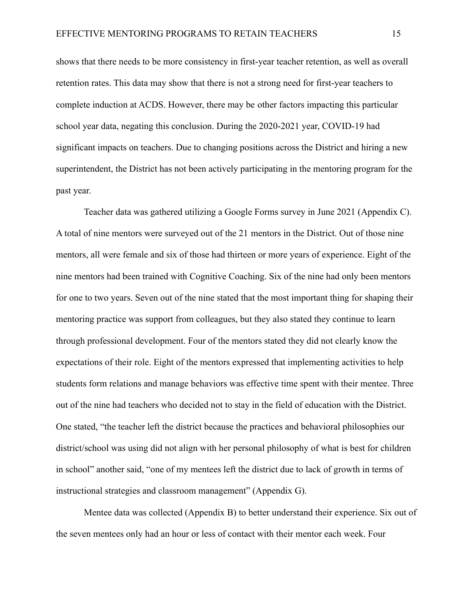shows that there needs to be more consistency in first-year teacher retention, as well as overall retention rates. This data may show that there is not a strong need for first-year teachers to complete induction at ACDS. However, there may be other factors impacting this particular school year data, negating this conclusion. During the 2020-2021 year, COVID-19 had significant impacts on teachers. Due to changing positions across the District and hiring a new superintendent, the District has not been actively participating in the mentoring program for the past year.

Teacher data was gathered utilizing a Google Forms survey in June 2021 (Appendix C). A total of nine mentors were surveyed out of the 21 mentors in the District. Out of those nine mentors, all were female and six of those had thirteen or more years of experience. Eight of the nine mentors had been trained with Cognitive Coaching. Six of the nine had only been mentors for one to two years. Seven out of the nine stated that the most important thing for shaping their mentoring practice was support from colleagues, but they also stated they continue to learn through professional development. Four of the mentors stated they did not clearly know the expectations of their role. Eight of the mentors expressed that implementing activities to help students form relations and manage behaviors was effective time spent with their mentee. Three out of the nine had teachers who decided not to stay in the field of education with the District. One stated, "the teacher left the district because the practices and behavioral philosophies our district/school was using did not align with her personal philosophy of what is best for children in school" another said, "one of my mentees left the district due to lack of growth in terms of instructional strategies and classroom management" (Appendix G).

Mentee data was collected (Appendix B) to better understand their experience. Six out of the seven mentees only had an hour or less of contact with their mentor each week. Four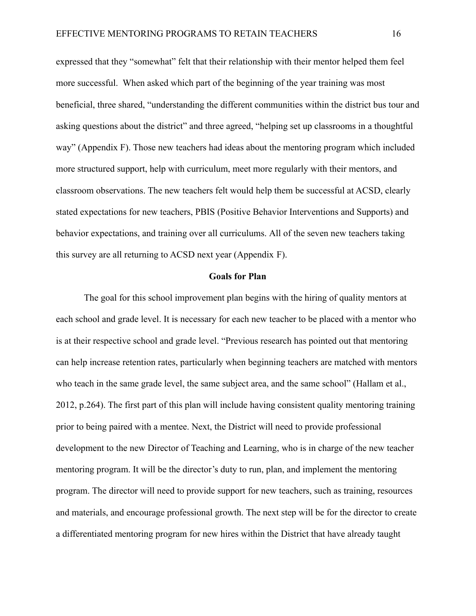expressed that they "somewhat" felt that their relationship with their mentor helped them feel more successful. When asked which part of the beginning of the year training was most beneficial, three shared, "understanding the different communities within the district bus tour and asking questions about the district" and three agreed, "helping set up classrooms in a thoughtful way" (Appendix F). Those new teachers had ideas about the mentoring program which included more structured support, help with curriculum, meet more regularly with their mentors, and classroom observations. The new teachers felt would help them be successful at ACSD, clearly stated expectations for new teachers, PBIS (Positive Behavior Interventions and Supports) and behavior expectations, and training over all curriculums. All of the seven new teachers taking this survey are all returning to ACSD next year (Appendix F).

#### **Goals for Plan**

The goal for this school improvement plan begins with the hiring of quality mentors at each school and grade level. It is necessary for each new teacher to be placed with a mentor who is at their respective school and grade level. "Previous research has pointed out that mentoring can help increase retention rates, particularly when beginning teachers are matched with mentors who teach in the same grade level, the same subject area, and the same school" (Hallam et al., 2012, p.264). The first part of this plan will include having consistent quality mentoring training prior to being paired with a mentee. Next, the District will need to provide professional development to the new Director of Teaching and Learning, who is in charge of the new teacher mentoring program. It will be the director's duty to run, plan, and implement the mentoring program. The director will need to provide support for new teachers, such as training, resources and materials, and encourage professional growth. The next step will be for the director to create a differentiated mentoring program for new hires within the District that have already taught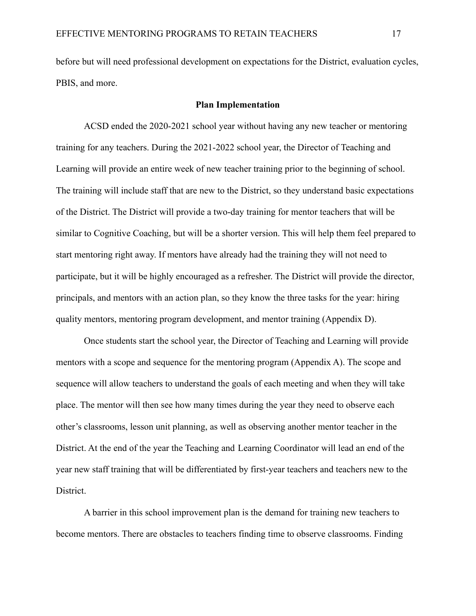before but will need professional development on expectations for the District, evaluation cycles, PBIS, and more.

#### **Plan Implementation**

ACSD ended the 2020-2021 school year without having any new teacher or mentoring training for any teachers. During the 2021-2022 school year, the Director of Teaching and Learning will provide an entire week of new teacher training prior to the beginning of school. The training will include staff that are new to the District, so they understand basic expectations of the District. The District will provide a two-day training for mentor teachers that will be similar to Cognitive Coaching, but will be a shorter version. This will help them feel prepared to start mentoring right away. If mentors have already had the training they will not need to participate, but it will be highly encouraged as a refresher. The District will provide the director, principals, and mentors with an action plan, so they know the three tasks for the year: hiring quality mentors, mentoring program development, and mentor training (Appendix D).

Once students start the school year, the Director of Teaching and Learning will provide mentors with a scope and sequence for the mentoring program (Appendix A). The scope and sequence will allow teachers to understand the goals of each meeting and when they will take place. The mentor will then see how many times during the year they need to observe each other's classrooms, lesson unit planning, as well as observing another mentor teacher in the District. At the end of the year the Teaching and Learning Coordinator will lead an end of the year new staff training that will be differentiated by first-year teachers and teachers new to the District.

A barrier in this school improvement plan is the demand for training new teachers to become mentors. There are obstacles to teachers finding time to observe classrooms. Finding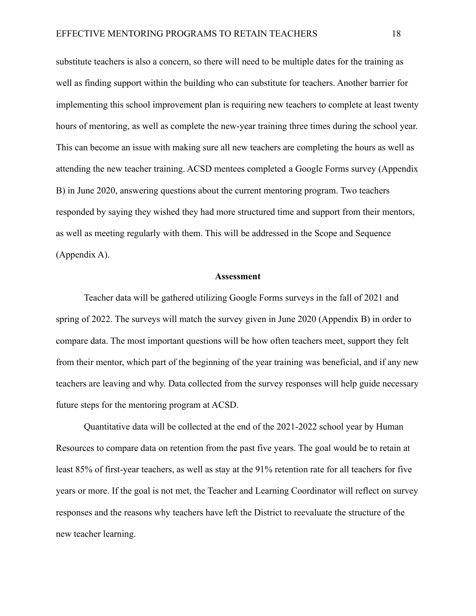substitute teachers is also a concern, so there will need to be multiple dates for the training as well as finding support within the building who can substitute for teachers. Another barrier for implementing this school improvement plan is requiring new teachers to complete at least twenty hours of mentoring, as well as complete the new-year training three times during the school year. This can become an issue with making sure all new teachers are completing the hours as well as attending the new teacher training. ACSD mentees completed a Google Forms survey (Appendix B) in June 2020, answering questions about the current mentoring program. Two teachers responded by saying they wished they had more structured time and support from their mentors, as well as meeting regularly with them. This will be addressed in the Scope and Sequence (Appendix A).

#### **Assessment**

Teacher data will be gathered utilizing Google Forms surveys in the fall of 2021 and spring of 2022. The surveys will match the survey given in June 2020 (Appendix B) in order to compare data. The most important questions will be how often teachers meet, support they felt from their mentor, which part of the beginning of the year training was beneficial, and if any new teachers are leaving and why. Data collected from the survey responses will help guide necessary future steps for the mentoring program at ACSD.

Quantitative data will be collected at the end of the 2021-2022 school year by Human Resources to compare data on retention from the past five years. The goal would be to retain at least 85% of first-year teachers, as well as stay at the 91% retention rate for all teachers for five years or more. If the goal is not met, the Teacher and Learning Coordinator will reflect on survey responses and the reasons why teachers have left the District to reevaluate the structure of the new teacher learning.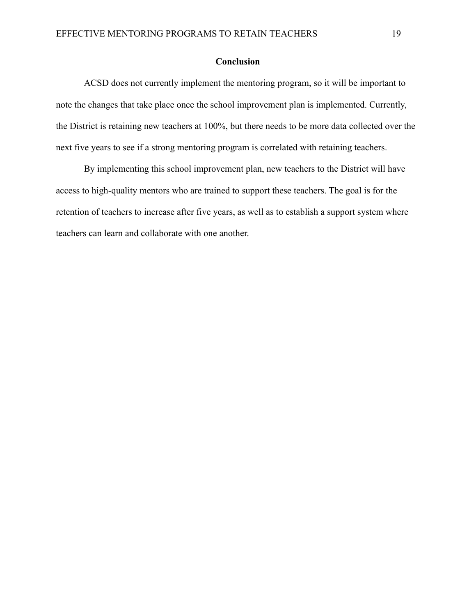#### **Conclusion**

ACSD does not currently implement the mentoring program, so it will be important to note the changes that take place once the school improvement plan is implemented. Currently, the District is retaining new teachers at 100%, but there needs to be more data collected over the next five years to see if a strong mentoring program is correlated with retaining teachers.

By implementing this school improvement plan, new teachers to the District will have access to high-quality mentors who are trained to support these teachers. The goal is for the retention of teachers to increase after five years, as well as to establish a support system where teachers can learn and collaborate with one another.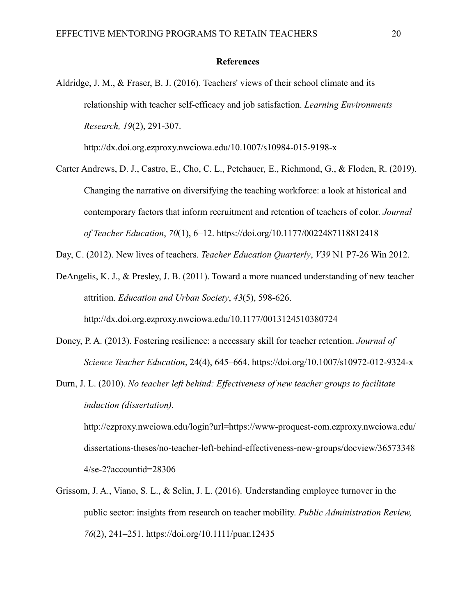#### **References**

Aldridge, J. M., & Fraser, B. J. (2016). Teachers' views of their school climate and its relationship with teacher self-efficacy and job satisfaction. *Learning Environments Research, 19*(2), 291-307.

http://dx.doi.org.ezproxy.nwciowa.edu/10.1007/s10984-015-9198-x

Carter Andrews, D. J., Castro, E., Cho, C. L., Petchauer, E., Richmond, G., & Floden, R. (2019). Changing the narrative on diversifying the teaching workforce: a look at historical and contemporary factors that inform recruitment and retention of teachers of color. *Journal of Teacher Education*, *70*(1), 6–12. https://doi.org/10.1177/0022487118812418

Day, C. (2012). New lives of teachers. *Teacher Education Quarterly*, *V39* N1 P7-26 Win 2012.

DeAngelis, K. J., & Presley, J. B. (2011). Toward a more nuanced understanding of new teacher attrition. *Education and Urban Society*, *43*(5), 598-626. http://dx.doi.org.ezproxy.nwciowa.edu/10.1177/0013124510380724

- Doney, P. A. (2013). Fostering resilience: a necessary skill for teacher retention. *Journal of Science Teacher Education*, 24(4), 645–664. https://doi.org/10.1007/s10972-012-9324-x
- Durn, J. L. (2010). *No teacher left behind: Effectiveness of new teacher groups to facilitate induction (dissertation).*

http://ezproxy.nwciowa.edu/login?url=https://www-proquest-com.ezproxy.nwciowa.edu/ dissertations-theses/no-teacher-left-behind-effectiveness-new-groups/docview/36573348 4/se-2?accountid=28306

Grissom, J. A., Viano, S. L., & Selin, J. L. (2016). Understanding employee turnover in the public sector: insights from research on teacher mobility. *Public Administration Review, 76*(2), 241–251. https://doi.org/10.1111/puar.12435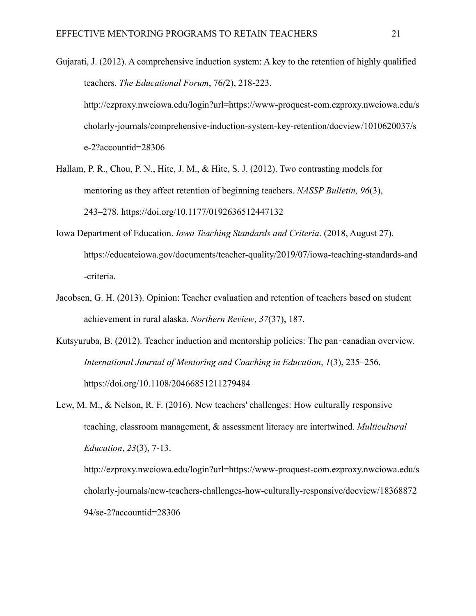Gujarati, J. (2012). A comprehensive induction system: A key to the retention of highly qualified teachers. *The Educational Forum*, 76*(*2), 218-223. http://ezproxy.nwciowa.edu/login?url=https://www-proquest-com.ezproxy.nwciowa.edu/s cholarly-journals/comprehensive-induction-system-key-retention/docview/1010620037/s e-2?accountid=28306

- Hallam, P. R., Chou, P. N., Hite, J. M., & Hite, S. J. (2012). Two contrasting models for mentoring as they affect retention of beginning teachers. *NASSP Bulletin, 96*(3), 243–278. https://doi.org/10.1177/0192636512447132
- Iowa Department of Education. *Iowa Teaching Standards and Criteria*. (2018, August 27). https://educateiowa.gov/documents/teacher-quality/2019/07/iowa-teaching-standards-and -criteria.
- Jacobsen, G. H. (2013). Opinion: Teacher evaluation and retention of teachers based on student achievement in rural alaska. *Northern Review*, *37*(37), 187.
- Kutsyuruba, B. (2012). Teacher induction and mentorship policies: The pan-canadian overview. *International Journal of Mentoring and Coaching in Education*, *1*(3), 235–256. https://doi.org/10.1108/20466851211279484
- Lew, M. M., & Nelson, R. F. (2016). New teachers' challenges: How culturally responsive teaching, classroom management, & assessment literacy are intertwined. *Multicultural Education*, *23*(3), 7-13. http://ezproxy.nwciowa.edu/login?url=https://www-proquest-com.ezproxy.nwciowa.edu/s cholarly-journals/new-teachers-challenges-how-culturally-responsive/docview/18368872 94/se-2?accountid=28306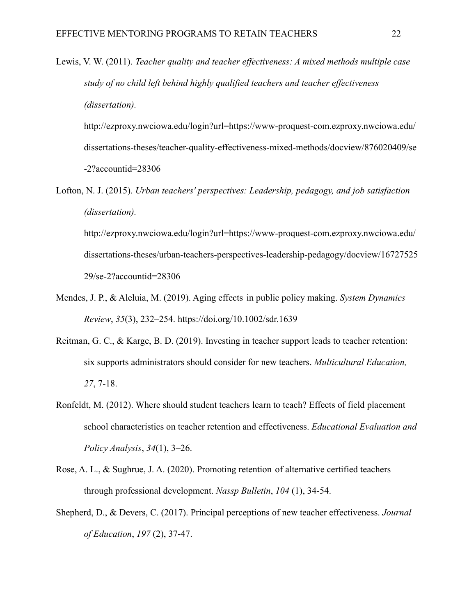Lewis, V. W. (2011). *Teacher quality and teacher effectiveness: A mixed methods multiple case study of no child left behind highly qualified teachers and teacher effectiveness (dissertation).*

http://ezproxy.nwciowa.edu/login?url=https://www-proquest-com.ezproxy.nwciowa.edu/ dissertations-theses/teacher-quality-effectiveness-mixed-methods/docview/876020409/se -2?accountid=28306

Lofton, N. J. (2015). *Urban teachers' perspectives: Leadership, pedagogy, and job satisfaction (dissertation).*

http://ezproxy.nwciowa.edu/login?url=https://www-proquest-com.ezproxy.nwciowa.edu/ dissertations-theses/urban-teachers-perspectives-leadership-pedagogy/docview/16727525 29/se-2?accountid=28306

- Mendes, J. P., & Aleluia, M. (2019). Aging effects in public policy making. *System Dynamics Review*, *35*(3), 232–254. https://doi.org/10.1002/sdr.1639
- Reitman, G. C., & Karge, B. D. (2019). Investing in teacher support leads to teacher retention: six supports administrators should consider for new teachers. *Multicultural Education, 27*, 7-18.
- Ronfeldt, M. (2012). Where should student teachers learn to teach? Effects of field placement school characteristics on teacher retention and effectiveness. *Educational Evaluation and Policy Analysis*, *34*(1), 3–26.
- Rose, A. L., & Sughrue, J. A. (2020). Promoting retention of alternative certified teachers through professional development. *Nassp Bulletin*, *104* (1), 34-54.
- Shepherd, D., & Devers, C. (2017). Principal perceptions of new teacher effectiveness. *Journal of Education*, *197* (2), 37-47.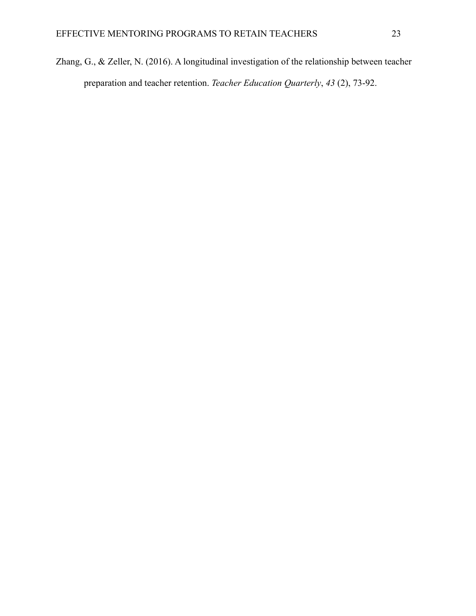Zhang, G., & Zeller, N. (2016). A longitudinal investigation of the relationship between teacher preparation and teacher retention. *Teacher Education Quarterly*, *43* (2), 73-92.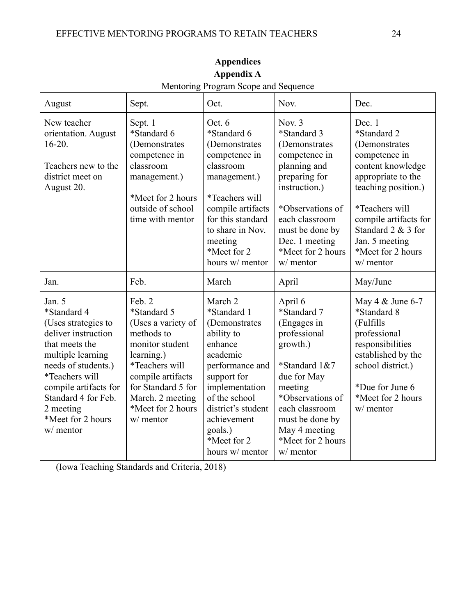| August                                                                                                                                                                                                                                             | Sept.                                                                                                                                                                                                         | Oct.                                                                                                                                                                                                                                | Nov.                                                                                                                                                                                                                      | Dec.                                                                                                                                                                                                                                            |
|----------------------------------------------------------------------------------------------------------------------------------------------------------------------------------------------------------------------------------------------------|---------------------------------------------------------------------------------------------------------------------------------------------------------------------------------------------------------------|-------------------------------------------------------------------------------------------------------------------------------------------------------------------------------------------------------------------------------------|---------------------------------------------------------------------------------------------------------------------------------------------------------------------------------------------------------------------------|-------------------------------------------------------------------------------------------------------------------------------------------------------------------------------------------------------------------------------------------------|
| New teacher<br>orientation. August<br>$16-20.$<br>Teachers new to the<br>district meet on<br>August 20.                                                                                                                                            | Sept. 1<br>*Standard 6<br>(Demonstrates<br>competence in<br>classroom<br>management.)<br>*Meet for 2 hours<br>outside of school<br>time with mentor                                                           | Oct. 6<br>*Standard 6<br>(Demonstrates)<br>competence in<br>classroom<br>management.)<br>*Teachers will<br>compile artifacts<br>for this standard<br>to share in Nov.<br>meeting<br>*Meet for 2<br>hours w/ mentor                  | Nov. $3$<br>*Standard 3<br>(Demonstrates)<br>competence in<br>planning and<br>preparing for<br>instruction.)<br>*Observations of<br>each classroom<br>must be done by<br>Dec. 1 meeting<br>*Meet for 2 hours<br>w/ mentor | Dec. 1<br>*Standard 2<br>(Demonstrates)<br>competence in<br>content knowledge<br>appropriate to the<br>teaching position.)<br>*Teachers will<br>compile artifacts for<br>Standard 2 & 3 for<br>Jan. 5 meeting<br>*Meet for 2 hours<br>w/ mentor |
| Jan.                                                                                                                                                                                                                                               | Feb.                                                                                                                                                                                                          | March                                                                                                                                                                                                                               | April                                                                                                                                                                                                                     | May/June                                                                                                                                                                                                                                        |
| Jan. 5<br>*Standard 4<br>(Uses strategies to<br>deliver instruction<br>that meets the<br>multiple learning<br>needs of students.)<br>*Teachers will<br>compile artifacts for<br>Standard 4 for Feb.<br>2 meeting<br>*Meet for 2 hours<br>w/ mentor | Feb. 2<br>*Standard 5<br>(Uses a variety of<br>methods to<br>monitor student<br>learning.)<br>*Teachers will<br>compile artifacts<br>for Standard 5 for<br>March. 2 meeting<br>*Meet for 2 hours<br>w/ mentor | March 2<br>*Standard 1<br>(Demonstrates<br>ability to<br>enhance<br>academic<br>performance and<br>support for<br>implementation<br>of the school<br>district's student<br>achievement<br>goals.)<br>*Meet for 2<br>hours w/ mentor | April 6<br>*Standard 7<br>(Engages in<br>professional<br>growth.)<br>*Standard 1&7<br>due for May<br>meeting<br>*Observations of<br>each classroom<br>must be done by<br>May 4 meeting<br>*Meet for 2 hours<br>w/ mentor  | May 4 & June 6-7<br>*Standard 8<br>(Fulfills<br>professional<br>responsibilities<br>established by the<br>school district.)<br>*Due for June 6<br>*Meet for 2 hours<br>w/ mentor                                                                |

**Appendices Appendix A** Mentoring Program Scope and Sequence

(Iowa Teaching Standards and Criteria, 2018)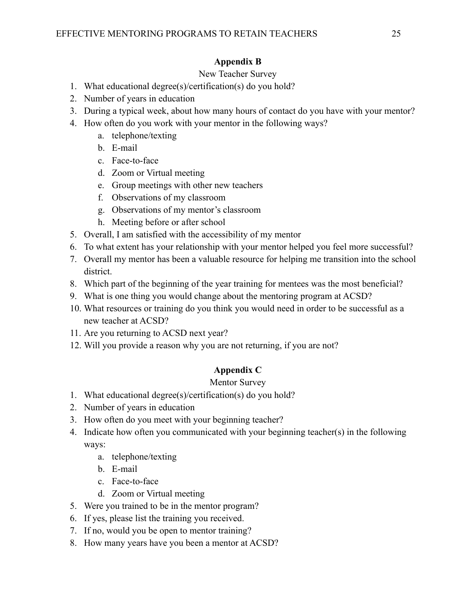### **Appendix B**

### New Teacher Survey

- 1. What educational degree(s)/certification(s) do you hold?
- 2. Number of years in education
- 3. During a typical week, about how many hours of contact do you have with your mentor?
- 4. How often do you work with your mentor in the following ways?
	- a. telephone/texting
	- b. E-mail
	- c. Face-to-face
	- d. Zoom or Virtual meeting
	- e. Group meetings with other new teachers
	- f. Observations of my classroom
	- g. Observations of my mentor's classroom
	- h. Meeting before or after school
- 5. Overall, I am satisfied with the accessibility of my mentor
- 6. To what extent has your relationship with your mentor helped you feel more successful?
- 7. Overall my mentor has been a valuable resource for helping me transition into the school district.
- 8. Which part of the beginning of the year training for mentees was the most beneficial?
- 9. What is one thing you would change about the mentoring program at ACSD?
- 10. What resources or training do you think you would need in order to be successful as a new teacher at ACSD?
- 11. Are you returning to ACSD next year?
- 12. Will you provide a reason why you are not returning, if you are not?

### **Appendix C**

### Mentor Survey

- 1. What educational degree(s)/certification(s) do you hold?
- 2. Number of years in education
- 3. How often do you meet with your beginning teacher?
- 4. Indicate how often you communicated with your beginning teacher(s) in the following ways:
	- a. telephone/texting
	- b. E-mail
	- c. Face-to-face
	- d. Zoom or Virtual meeting
- 5. Were you trained to be in the mentor program?
- 6. If yes, please list the training you received.
- 7. If no, would you be open to mentor training?
- 8. How many years have you been a mentor at ACSD?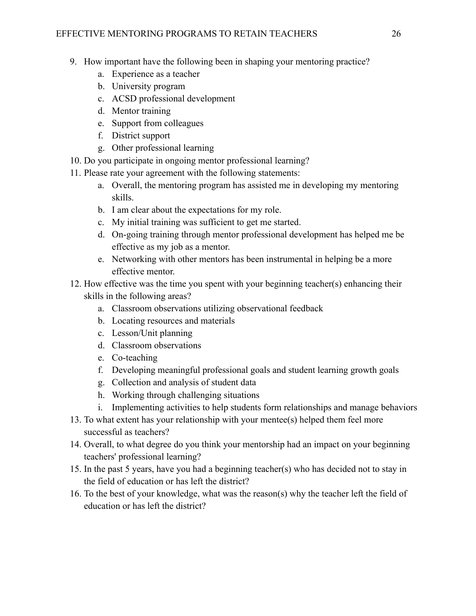- 9. How important have the following been in shaping your mentoring practice?
	- a. Experience as a teacher
	- b. University program
	- c. ACSD professional development
	- d. Mentor training
	- e. Support from colleagues
	- f. District support
	- g. Other professional learning
- 10. Do you participate in ongoing mentor professional learning?
- 11. Please rate your agreement with the following statements:
	- a. Overall, the mentoring program has assisted me in developing my mentoring skills.
	- b. I am clear about the expectations for my role.
	- c. My initial training was sufficient to get me started.
	- d. On-going training through mentor professional development has helped me be effective as my job as a mentor.
	- e. Networking with other mentors has been instrumental in helping be a more effective mentor.
- 12. How effective was the time you spent with your beginning teacher(s) enhancing their skills in the following areas?
	- a. Classroom observations utilizing observational feedback
	- b. Locating resources and materials
	- c. Lesson/Unit planning
	- d. Classroom observations
	- e. Co-teaching
	- f. Developing meaningful professional goals and student learning growth goals
	- g. Collection and analysis of student data
	- h. Working through challenging situations
	- i. Implementing activities to help students form relationships and manage behaviors
- 13. To what extent has your relationship with your mentee(s) helped them feel more successful as teachers?
- 14. Overall, to what degree do you think your mentorship had an impact on your beginning teachers' professional learning?
- 15. In the past 5 years, have you had a beginning teacher(s) who has decided not to stay in the field of education or has left the district?
- 16. To the best of your knowledge, what was the reason(s) why the teacher left the field of education or has left the district?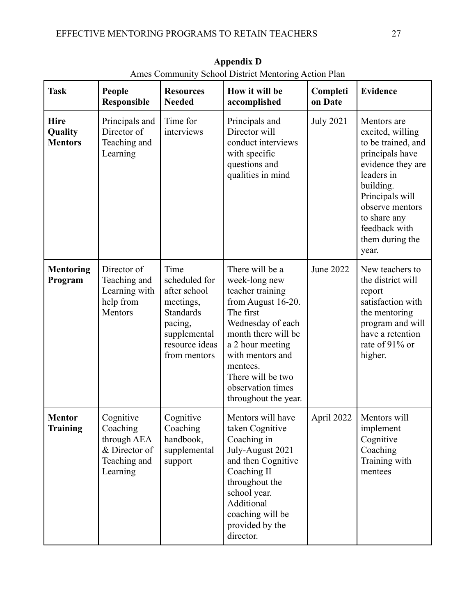| <b>Task</b>                              | People<br>Responsible                                                             | <b>Resources</b><br><b>Needed</b>                                                                                            | $500001$ $\mu$ hourseled the measure<br>How it will be<br>accomplished                                                                                                                                                                                    | Completi<br>on Date | <b>Evidence</b>                                                                                                                                                                                                             |
|------------------------------------------|-----------------------------------------------------------------------------------|------------------------------------------------------------------------------------------------------------------------------|-----------------------------------------------------------------------------------------------------------------------------------------------------------------------------------------------------------------------------------------------------------|---------------------|-----------------------------------------------------------------------------------------------------------------------------------------------------------------------------------------------------------------------------|
| <b>Hire</b><br>Quality<br><b>Mentors</b> | Principals and<br>Director of<br>Teaching and<br>Learning                         | Time for<br>interviews                                                                                                       | Principals and<br>Director will<br>conduct interviews<br>with specific<br>questions and<br>qualities in mind                                                                                                                                              | <b>July 2021</b>    | Mentors are<br>excited, willing<br>to be trained, and<br>principals have<br>evidence they are<br>leaders in<br>building.<br>Principals will<br>observe mentors<br>to share any<br>feedback with<br>them during the<br>year. |
| <b>Mentoring</b><br>Program              | Director of<br>Teaching and<br>Learning with<br>help from<br>Mentors              | Time<br>scheduled for<br>after school<br>meetings,<br>Standards<br>pacing,<br>supplemental<br>resource ideas<br>from mentors | There will be a<br>week-long new<br>teacher training<br>from August 16-20.<br>The first<br>Wednesday of each<br>month there will be<br>a 2 hour meeting<br>with mentors and<br>mentees.<br>There will be two<br>observation times<br>throughout the year. | <b>June 2022</b>    | New teachers to<br>the district will<br>report<br>satisfaction with<br>the mentoring<br>program and will<br>have a retention<br>rate of 91% or<br>higher.                                                                   |
| <b>Mentor</b><br>Training                | Cognitive<br>Coaching<br>through AEA<br>& Director of<br>Teaching and<br>Learning | Cognitive<br>Coaching<br>handbook,<br>supplemental<br>support                                                                | Mentors will have<br>taken Cognitive<br>Coaching in<br>July-August 2021<br>and then Cognitive<br>Coaching II<br>throughout the<br>school year.<br>Additional<br>coaching will be<br>provided by the<br>director.                                          | April 2022          | Mentors will<br>implement<br>Cognitive<br>Coaching<br>Training with<br>mentees                                                                                                                                              |

**Appendix D** Ames Community School District Mentoring Action Plan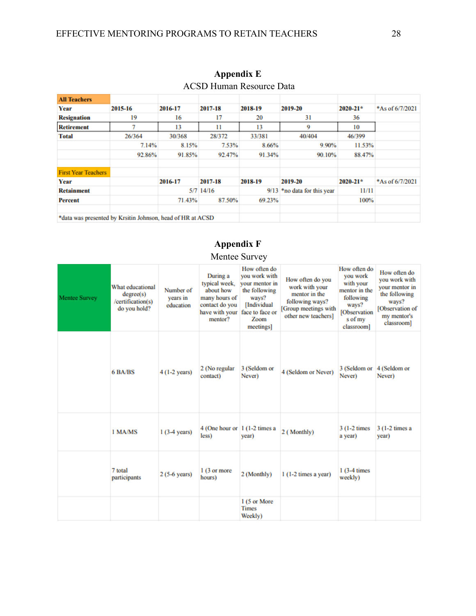| <b>All Teachers</b>                                        |         |         |             |         |                        |              |                 |
|------------------------------------------------------------|---------|---------|-------------|---------|------------------------|--------------|-----------------|
| Year                                                       | 2015-16 | 2016-17 | 2017-18     | 2018-19 | 2019-20                | $2020 - 21*$ | *As of 6/7/2021 |
| <b>Resignation</b>                                         | 19      | 16      | 17          | 20      | 31                     | 36           |                 |
| <b>Retirement</b>                                          |         | 13      | 11          | 13      | 9                      | 10           |                 |
| Total                                                      | 26/364  | 30/368  | 28/372      | 33/381  | 40/404                 | 46/399       |                 |
|                                                            | 7.14%   | 8.15%   | 7.53%       | 8.66%   | 9.90%                  | 11.53%       |                 |
|                                                            | 92.86%  | 91.85%  | 92.47%      | 91.34%  | 90.10%                 | 88.47%       |                 |
|                                                            |         |         |             |         |                        |              |                 |
| <b>First Year Teachers</b>                                 |         |         |             |         |                        |              |                 |
| Year                                                       |         | 2016-17 | 2017-18     | 2018-19 | 2019-20                | $2020 - 21*$ | *As of 6/7/2021 |
| <b>Retainment</b>                                          |         |         | $5/7$ 14/16 | 9/13    | *no data for this year | 11/11        |                 |
| Percent                                                    |         | 71.43%  | 87.50%      | 69.23%  |                        | 100%         |                 |
|                                                            |         |         |             |         |                        |              |                 |
| *data was presented by Krsitin Johnson, head of HR at ACSD |         |         |             |         |                        |              |                 |

### **Appendix E** ACSD Human Resource Data

### **Appendix F** Mentee Survey

| <b>Mentee Survey</b> | What educational<br>degree(s)<br>/certification(s)<br>do you hold? | Number of<br>years in<br>education | During a<br>typical week,<br>about how<br>many hours of<br>contact do you<br>have with your<br>mentor? | How often do<br>you work with<br>vour mentor in<br>the following<br>ways?<br>[Individual<br>face to face or<br>Zoom<br>meetings | How often do you<br>work with your<br>mentor in the<br>following ways?<br>[Group meetings with<br>other new teachers] | How often do<br>you work<br>with your<br>mentor in the<br>following<br>ways?<br><b>[Observation</b><br>s of my<br>classroom] | How often do<br>you work with<br>your mentor in<br>the following<br>ways?<br>[Observation of<br>my mentor's<br>classroom] |
|----------------------|--------------------------------------------------------------------|------------------------------------|--------------------------------------------------------------------------------------------------------|---------------------------------------------------------------------------------------------------------------------------------|-----------------------------------------------------------------------------------------------------------------------|------------------------------------------------------------------------------------------------------------------------------|---------------------------------------------------------------------------------------------------------------------------|
|                      | 6 BA/BS                                                            | $4(1-2 \text{ years})$             | 2 (No regular<br>contact)                                                                              | 3 (Seldom or<br>Never)                                                                                                          | 4 (Seldom or Never)                                                                                                   | 3 (Seldom or<br>Never)                                                                                                       | 4 (Seldom or<br>Never)                                                                                                    |
|                      | 1 MA/MS                                                            | $1(3-4 \text{ years})$             | 4 (One hour or $1(1-2)$ times a<br>less)                                                               | year)                                                                                                                           | 2 (Monthly)                                                                                                           | $3(1-2 \times$<br>a year)                                                                                                    | $3(1-2 \times a)$<br>year)                                                                                                |
|                      | 7 total<br>participants                                            | $2(5-6 \text{ years})$             | 1 (3 or more<br>hours)                                                                                 | 2 (Monthly)                                                                                                                     | $1(1-2 \times z)$ a year)                                                                                             | $1(3-4 \times$<br>weekly)                                                                                                    |                                                                                                                           |
|                      |                                                                    |                                    |                                                                                                        | 1 (5 or More<br><b>Times</b><br>Weekly)                                                                                         |                                                                                                                       |                                                                                                                              |                                                                                                                           |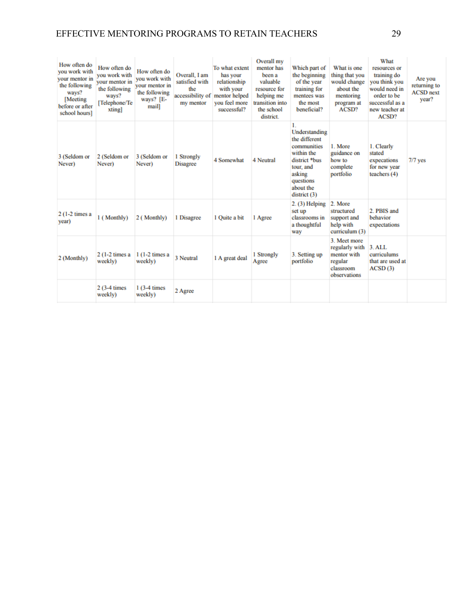### EFFECTIVE MENTORING PROGRAMS TO RETAIN TEACHERS 29

| How often do<br>you work with<br>your mentor in<br>the following<br>ways?<br>[Meeting]<br>before or after<br>school hours] | How often do<br>you work with<br>your mentor in<br>the following<br>ways?<br>[Telephone/Te<br>xting] | How often do<br>you work with<br>vour mentor in<br>the following<br>ways? $[E -$<br>mail] | Overall, I am<br>satisfied with<br>the<br>accessibility of mentor helped<br>my mentor | To what extent<br>has your<br>relationship<br>with your<br>vou feel more<br>successful? | Overall my<br>mentor has<br>been a<br>valuable<br>resource for<br>helping me<br>transition into<br>the school<br>district. | Which part of<br>the beginning<br>of the year<br>training for<br>mentees was<br>the most<br>beneficial?                                           | What is one<br>thing that you<br>would change<br>about the<br>mentoring<br>program at<br>ACSD? | What<br>resources or<br>training do<br>you think you<br>would need in<br>order to be<br>successful as a<br>new teacher at<br>ACSD? | Are you<br>returning to<br><b>ACSD</b> next<br>vear? |
|----------------------------------------------------------------------------------------------------------------------------|------------------------------------------------------------------------------------------------------|-------------------------------------------------------------------------------------------|---------------------------------------------------------------------------------------|-----------------------------------------------------------------------------------------|----------------------------------------------------------------------------------------------------------------------------|---------------------------------------------------------------------------------------------------------------------------------------------------|------------------------------------------------------------------------------------------------|------------------------------------------------------------------------------------------------------------------------------------|------------------------------------------------------|
| 3 (Seldom or<br>Never)                                                                                                     | 2 (Seldom or<br>Never)                                                                               | 3 (Seldom or<br>Never)                                                                    | 1 Strongly<br><b>Disagree</b>                                                         | 4 Somewhat                                                                              | 4 Neutral                                                                                                                  | L<br>Understanding<br>the different<br>communities<br>within the<br>district *bus<br>tour, and<br>asking<br>questions<br>about the<br>district(3) | 1. More<br>guidance on<br>how to<br>complete<br>portfolio                                      | 1. Clearly<br>stated<br>expecations<br>for new year<br>teachers $(4)$                                                              | $7/7$ yes                                            |
| $2(1-2 \times a)$<br>year)                                                                                                 | 1 (Monthly)                                                                                          | 2 (Monthly)                                                                               | 1 Disagree                                                                            | 1 Ouite a bit                                                                           | 1 Agree                                                                                                                    | 2. (3) Helping<br>set up<br>classrooms in<br>a thoughtful<br>way                                                                                  | 2. More<br>structured<br>support and<br>help with<br>curriculum (3)                            | 2. PBIS and<br>behavior<br>expectations                                                                                            |                                                      |
| 2 (Monthly)                                                                                                                | $2(1-2 \times a)$<br>weekly)                                                                         | $1(1-2 \times a)$<br>weekly)                                                              | 3 Neutral                                                                             | 1 A great deal                                                                          | 1 Strongly<br>Agree                                                                                                        | 3. Setting up<br>portfolio                                                                                                                        | 3. Meet more<br>regularly with<br>mentor with<br>regular<br>classroom<br>observations          | $3.$ ALL<br>curriculums<br>that are used at<br>ACSD(3)                                                                             |                                                      |
|                                                                                                                            | $2(3-4 \times 1)$<br>weekly)                                                                         | $1(3-4 \times s)$<br>weekly)                                                              | 2 Agree                                                                               |                                                                                         |                                                                                                                            |                                                                                                                                                   |                                                                                                |                                                                                                                                    |                                                      |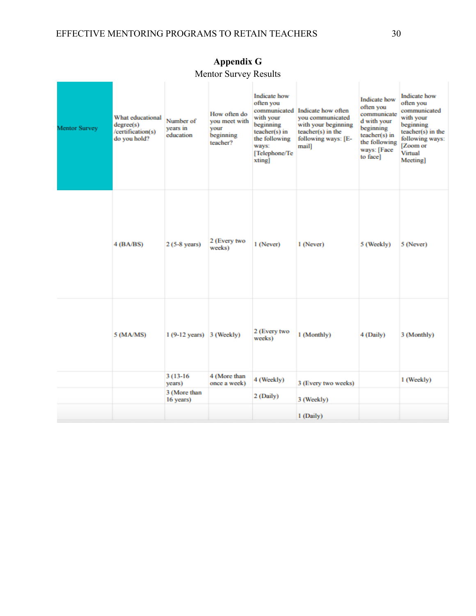| Mentor Survey | What educational<br>degree(s)<br>/certification(s)<br>do you hold? | Number of<br>vears in<br>education | How often do<br>you meet with<br><b>VOUT</b><br>beginning<br>teacher? | Indicate how<br>often you<br>with your<br>beginning<br>teacher(s) in<br>the following<br>ways:<br>[Telephone/Te<br>xting] | communicated Indicate how often<br>vou communicated<br>with your beginning<br>teacher(s) in the<br>following ways: [E-<br>mail] | <b>Indicate</b> how<br>often you<br>communicate<br>d with your<br>beginning<br>$teacher(s)$ in<br>the following<br>ways: [Face<br>to face] | <b>Indicate</b> how<br>often you<br>communicated<br>with your<br>beginning<br>teacher(s) in the<br>following ways:<br>[Zoom or<br>Virtual<br>Meeting] |
|---------------|--------------------------------------------------------------------|------------------------------------|-----------------------------------------------------------------------|---------------------------------------------------------------------------------------------------------------------------|---------------------------------------------------------------------------------------------------------------------------------|--------------------------------------------------------------------------------------------------------------------------------------------|-------------------------------------------------------------------------------------------------------------------------------------------------------|
|               | 4(BA/BS)                                                           | $2(5-8 \text{ years})$             | 2 (Every two<br>weeks)                                                | 1 (Never)                                                                                                                 | 1 (Never)                                                                                                                       | 5 (Weekly)                                                                                                                                 | 5 (Never)                                                                                                                                             |
|               | 5 (MA/MS)                                                          | $1(9-12 \text{ years})$ 3 (Weekly) |                                                                       | 2 (Every two<br>weeks)                                                                                                    | 1 (Monthly)                                                                                                                     | 4 (Daily)                                                                                                                                  | 3 (Monthly)                                                                                                                                           |
|               |                                                                    | $3(13-16)$<br>years)               | 4 (More than<br>once a week)                                          | 4 (Weekly)                                                                                                                | 3 (Every two weeks)                                                                                                             |                                                                                                                                            | 1 (Weekly)                                                                                                                                            |
|               |                                                                    | 3 (More than<br>16 years)          |                                                                       | 2 (Daily)                                                                                                                 | 3 (Weekly)                                                                                                                      |                                                                                                                                            |                                                                                                                                                       |
|               |                                                                    |                                    |                                                                       |                                                                                                                           | 1 (Daily)                                                                                                                       |                                                                                                                                            |                                                                                                                                                       |

### **Appendix G** Mentor Survey Results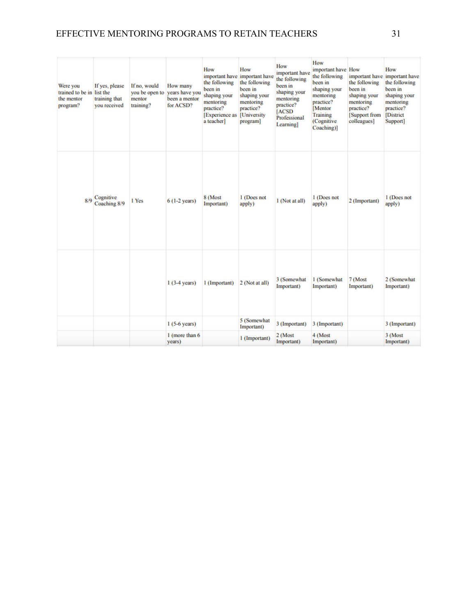### EFFECTIVE MENTORING PROGRAMS TO RETAIN TEACHERS 31

| Were you<br>trained to be in list the<br>the mentor<br>program? | If yes, please<br>training that<br>you received | If no, would<br>you be open to<br>mentor<br>training? | How many<br>years have you<br>been a mentor<br>for ACSD? | How<br>important have important have<br>the following<br>been in<br>shaping your<br>mentoring<br>practice?<br><b>Experience</b> as<br>a teacher] | How<br>the following<br>been in<br>shaping your<br>mentoring<br>practice?<br><b>[University</b><br>program] | <b>How</b><br>important have<br>the following<br>been in<br>shaping your<br>mentoring<br>practice?<br><b>[ACSD</b><br>Professional<br>Learning] | How<br>important have How<br>the following<br>been in<br>shaping your<br>mentoring<br>practice?<br>[Mentor<br>Training<br>(Cognitive<br>Coaching)] | important have<br>the following<br>been in<br>shaping your<br>mentoring<br>practice?<br>[Support from<br>colleagues] | How<br>important have<br>the following<br>been in<br>shaping your<br>mentoring<br>practice?<br><b>District</b><br>Support] |
|-----------------------------------------------------------------|-------------------------------------------------|-------------------------------------------------------|----------------------------------------------------------|--------------------------------------------------------------------------------------------------------------------------------------------------|-------------------------------------------------------------------------------------------------------------|-------------------------------------------------------------------------------------------------------------------------------------------------|----------------------------------------------------------------------------------------------------------------------------------------------------|----------------------------------------------------------------------------------------------------------------------|----------------------------------------------------------------------------------------------------------------------------|
| R/Q                                                             | Cognitive<br>Coaching 8/9                       | 1 Yes                                                 | $6(1-2 \text{ years})$                                   | 8 (Most<br>Important)                                                                                                                            | 1 (Does not<br>apply)                                                                                       | 1 (Not at all)                                                                                                                                  | 1 (Does not<br>apply)                                                                                                                              | 2 (Important)                                                                                                        | 1 (Does not<br>apply)                                                                                                      |
|                                                                 |                                                 |                                                       | $1(3-4 \text{ years})$                                   | 1 (Important)                                                                                                                                    | 2 (Not at all)                                                                                              | 3 (Somewhat<br>Important)                                                                                                                       | 1 (Somewhat<br>Important)                                                                                                                          | 7 (Most<br>Important)                                                                                                | 2 (Somewhat<br>Important)                                                                                                  |
|                                                                 |                                                 |                                                       | $1(5-6 \text{ years})$                                   |                                                                                                                                                  | 5 (Somewhat<br>Important)                                                                                   | 3 (Important)                                                                                                                                   | 3 (Important)                                                                                                                                      |                                                                                                                      | 3 (Important)                                                                                                              |
|                                                                 |                                                 |                                                       | 1 (more than 6)<br>years)                                |                                                                                                                                                  | 1 (Important)                                                                                               | 2 (Most<br>Important)                                                                                                                           | 4 (Most<br>Important)                                                                                                                              |                                                                                                                      | 3 (Most<br>Important)                                                                                                      |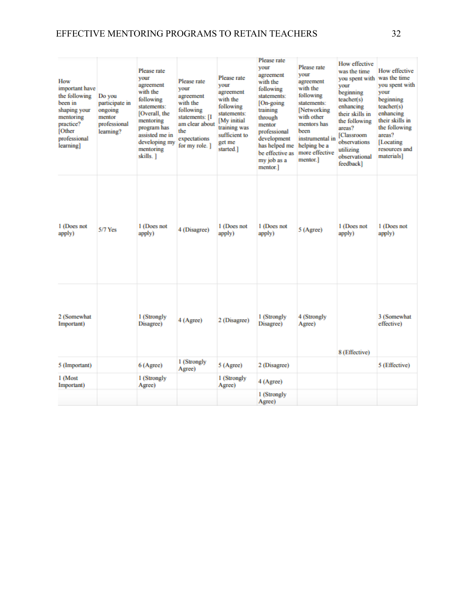| How<br>important have<br>the following<br>been in<br>shaping your<br>mentoring<br>practice?<br>[Other<br>professional<br>learning] | Do you<br>participate in<br>ongoing<br>mentor<br>professional<br>learning? | Please rate<br><b>VOUT</b><br>agreement<br>with the<br>following<br>statements:<br>[Overall, the<br>mentoring<br>program has<br>assisted me in<br>developing my<br>mentoring<br>skills.] | Please rate<br>vour<br>agreement<br>with the<br>following<br>statements: [I<br>am clear about<br>the<br>expectations<br>for my role. ] | Please rate<br>vour<br>agreement<br>with the<br>following<br>statements:<br>[My initial]<br>training was<br>sufficient to<br>get me<br>started.] | Please rate<br>vour<br>agreement<br>with the<br>following<br>statements:<br>[On-going]<br>training<br>through<br>mentor<br>professional<br>development<br>has helped me<br>be effective as<br>my job as a<br>mentor.] | Please rate<br>vour<br>agreement<br>with the<br>following<br>statements:<br>Networking<br>with other<br>mentors has<br>been<br>instrumental in<br>helping be a<br>more effective<br>mentor.] | How effective<br>was the time<br>you spent with<br><b>VOUT</b><br>beginning<br>teacher(s)<br>enhancing<br>their skills in<br>the following<br>areas?<br><b>[Classroom</b><br>observations<br>utilizing<br>observational<br>feedback] | How effective<br>was the time<br>you spent with<br>vour<br>beginning<br>teacher(s)<br>enhancing<br>their skills in<br>the following<br>areas?<br>[Locating]<br>resources and<br>materials] |
|------------------------------------------------------------------------------------------------------------------------------------|----------------------------------------------------------------------------|------------------------------------------------------------------------------------------------------------------------------------------------------------------------------------------|----------------------------------------------------------------------------------------------------------------------------------------|--------------------------------------------------------------------------------------------------------------------------------------------------|-----------------------------------------------------------------------------------------------------------------------------------------------------------------------------------------------------------------------|----------------------------------------------------------------------------------------------------------------------------------------------------------------------------------------------|--------------------------------------------------------------------------------------------------------------------------------------------------------------------------------------------------------------------------------------|--------------------------------------------------------------------------------------------------------------------------------------------------------------------------------------------|
| 1 (Does not<br>apply)                                                                                                              | $5/7$ Yes                                                                  | 1 (Does not<br>apply)                                                                                                                                                                    | 4 (Disagree)                                                                                                                           | 1 (Does not<br>apply)                                                                                                                            | 1 (Does not<br>apply)                                                                                                                                                                                                 | 5 (Agree)                                                                                                                                                                                    | 1 (Does not<br>apply)                                                                                                                                                                                                                | 1 (Does not<br>apply)                                                                                                                                                                      |
| 2 (Somewhat<br>Important)                                                                                                          |                                                                            | 1 (Strongly<br>Disagree)                                                                                                                                                                 | 4 (Agree)                                                                                                                              | 2 (Disagree)                                                                                                                                     | 1 (Strongly<br>Disagree)                                                                                                                                                                                              | 4 (Strongly<br>Agree)                                                                                                                                                                        | 8 (Effective)                                                                                                                                                                                                                        | 3 (Somewhat<br>effective)                                                                                                                                                                  |
| 5 (Important)                                                                                                                      |                                                                            | 6(A <sub>grce</sub> )                                                                                                                                                                    | 1 (Strongly<br>Agree)                                                                                                                  | 5 (Agree)                                                                                                                                        | 2 (Disagree)                                                                                                                                                                                                          |                                                                                                                                                                                              |                                                                                                                                                                                                                                      | 5 (Effective)                                                                                                                                                                              |
| 1 (Most<br>Important)                                                                                                              |                                                                            | 1 (Strongly<br>Agree)                                                                                                                                                                    |                                                                                                                                        | 1 (Strongly<br>Agree)                                                                                                                            | 4 (Agree)                                                                                                                                                                                                             |                                                                                                                                                                                              |                                                                                                                                                                                                                                      |                                                                                                                                                                                            |
|                                                                                                                                    |                                                                            |                                                                                                                                                                                          |                                                                                                                                        |                                                                                                                                                  | 1 (Strongly<br>Agree)                                                                                                                                                                                                 |                                                                                                                                                                                              |                                                                                                                                                                                                                                      |                                                                                                                                                                                            |